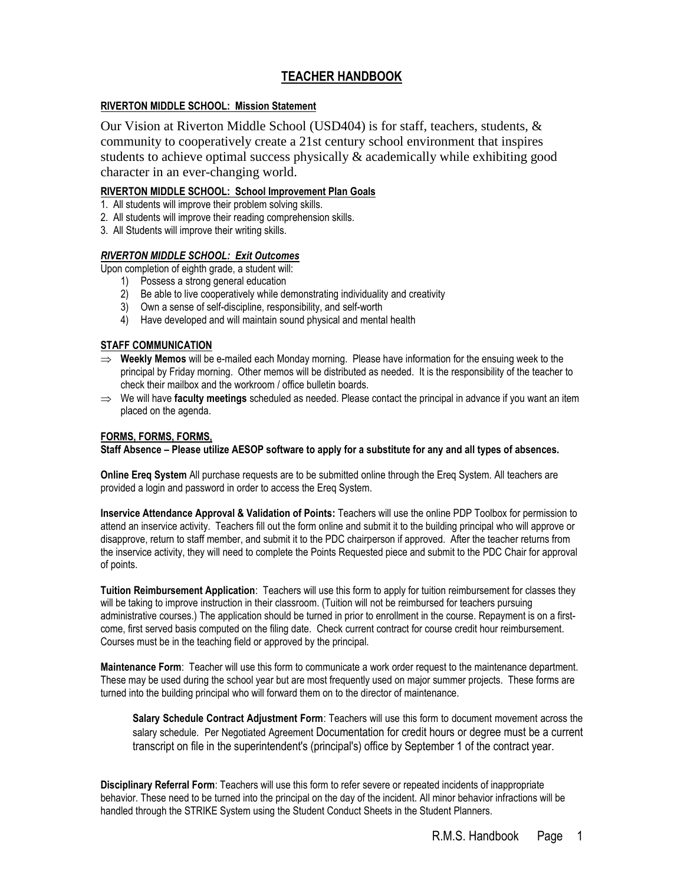## **TEACHER HANDBOOK**

## **RIVERTON MIDDLE SCHOOL: Mission Statement**

Our Vision at Riverton Middle School (USD404) is for staff, teachers, students, & community to cooperatively create a 21st century school environment that inspires students to achieve optimal success physically & academically while exhibiting good character in an ever-changing world.

## **RIVERTON MIDDLE SCHOOL: School Improvement Plan Goals**

- 1. All students will improve their problem solving skills.
- 2. All students will improve their reading comprehension skills.
- 3. All Students will improve their writing skills.

## *RIVERTON MIDDLE SCHOOL: Exit Outcomes*

Upon completion of eighth grade, a student will:

- 1) Possess a strong general education
- 2) Be able to live cooperatively while demonstrating individuality and creativity
- 3) Own a sense of self-discipline, responsibility, and self-worth
- 4) Have developed and will maintain sound physical and mental health

## **STAFF COMMUNICATION**

- **Weekly Memos** will be e-mailed each Monday morning. Please have information for the ensuing week to the principal by Friday morning. Other memos will be distributed as needed. It is the responsibility of the teacher to check their mailbox and the workroom / office bulletin boards.
- We will have **faculty meetings** scheduled as needed. Please contact the principal in advance if you want an item placed on the agenda.

## **FORMS, FORMS, FORMS,**

**Staff Absence – Please utilize AESOP software to apply for a substitute for any and all types of absences.**

**Online Ereq System** All purchase requests are to be submitted online through the Ereq System. All teachers are provided a login and password in order to access the Ereq System.

**Inservice Attendance Approval & Validation of Points:** Teachers will use the online PDP Toolbox for permission to attend an inservice activity. Teachers fill out the form online and submit it to the building principal who will approve or disapprove, return to staff member, and submit it to the PDC chairperson if approved. After the teacher returns from the inservice activity, they will need to complete the Points Requested piece and submit to the PDC Chair for approval of points.

**Tuition Reimbursement Application**: Teachers will use this form to apply for tuition reimbursement for classes they will be taking to improve instruction in their classroom. (Tuition will not be reimbursed for teachers pursuing administrative courses.) The application should be turned in prior to enrollment in the course. Repayment is on a firstcome, first served basis computed on the filing date. Check current contract for course credit hour reimbursement. Courses must be in the teaching field or approved by the principal.

**Maintenance Form**: Teacher will use this form to communicate a work order request to the maintenance department. These may be used during the school year but are most frequently used on major summer projects. These forms are turned into the building principal who will forward them on to the director of maintenance.

**Salary Schedule Contract Adjustment Form**: Teachers will use this form to document movement across the salary schedule. Per Negotiated Agreement Documentation for credit hours or degree must be a current transcript on file in the superintendent's (principal's) office by September 1 of the contract year.

**Disciplinary Referral Form**: Teachers will use this form to refer severe or repeated incidents of inappropriate behavior. These need to be turned into the principal on the day of the incident. All minor behavior infractions will be handled through the STRIKE System using the Student Conduct Sheets in the Student Planners.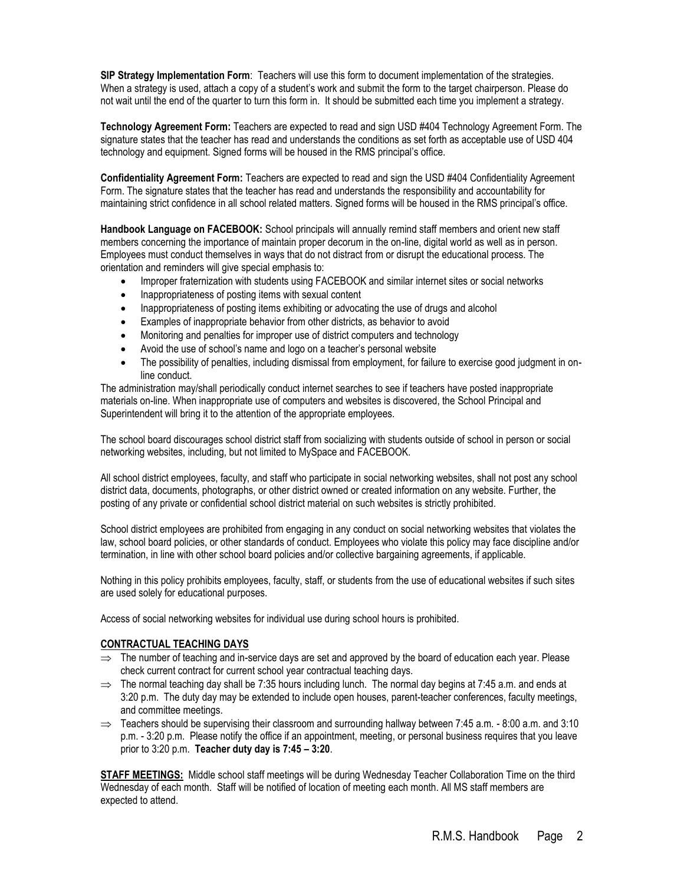**SIP Strategy Implementation Form**: Teachers will use this form to document implementation of the strategies. When a strategy is used, attach a copy of a student's work and submit the form to the target chairperson. Please do not wait until the end of the quarter to turn this form in. It should be submitted each time you implement a strategy.

**Technology Agreement Form:** Teachers are expected to read and sign USD #404 Technology Agreement Form. The signature states that the teacher has read and understands the conditions as set forth as acceptable use of USD 404 technology and equipment. Signed forms will be housed in the RMS principal's office.

**Confidentiality Agreement Form:** Teachers are expected to read and sign the USD #404 Confidentiality Agreement Form. The signature states that the teacher has read and understands the responsibility and accountability for maintaining strict confidence in all school related matters. Signed forms will be housed in the RMS principal's office.

**Handbook Language on FACEBOOK:** School principals will annually remind staff members and orient new staff members concerning the importance of maintain proper decorum in the on-line, digital world as well as in person. Employees must conduct themselves in ways that do not distract from or disrupt the educational process. The orientation and reminders will give special emphasis to:

- Improper fraternization with students using FACEBOOK and similar internet sites or social networks
- Inappropriateness of posting items with sexual content
- Inappropriateness of posting items exhibiting or advocating the use of drugs and alcohol
- Examples of inappropriate behavior from other districts, as behavior to avoid
- Monitoring and penalties for improper use of district computers and technology
- Avoid the use of school's name and logo on a teacher's personal website
- The possibility of penalties, including dismissal from employment, for failure to exercise good judgment in online conduct.

The administration may/shall periodically conduct internet searches to see if teachers have posted inappropriate materials on-line. When inappropriate use of computers and websites is discovered, the School Principal and Superintendent will bring it to the attention of the appropriate employees.

The school board discourages school district staff from socializing with students outside of school in person or social networking websites, including, but not limited to MySpace and FACEBOOK.

All school district employees, faculty, and staff who participate in social networking websites, shall not post any school district data, documents, photographs, or other district owned or created information on any website. Further, the posting of any private or confidential school district material on such websites is strictly prohibited.

School district employees are prohibited from engaging in any conduct on social networking websites that violates the law, school board policies, or other standards of conduct. Employees who violate this policy may face discipline and/or termination, in line with other school board policies and/or collective bargaining agreements, if applicable.

Nothing in this policy prohibits employees, faculty, staff, or students from the use of educational websites if such sites are used solely for educational purposes.

Access of social networking websites for individual use during school hours is prohibited.

#### **CONTRACTUAL TEACHING DAYS**

- $\Rightarrow$  The number of teaching and in-service days are set and approved by the board of education each year. Please check current contract for current school year contractual teaching days.
- $\Rightarrow$  The normal teaching day shall be 7:35 hours including lunch. The normal day begins at 7:45 a.m. and ends at 3:20 p.m. The duty day may be extended to include open houses, parent-teacher conferences, faculty meetings, and committee meetings.
- $\Rightarrow$  Teachers should be supervising their classroom and surrounding hallway between 7:45 a.m. 8:00 a.m. and 3:10 p.m. - 3:20 p.m. Please notify the office if an appointment, meeting, or personal business requires that you leave prior to 3:20 p.m. **Teacher duty day is 7:45 – 3:20**.

**STAFF MEETINGS:** Middle school staff meetings will be during Wednesday Teacher Collaboration Time on the third Wednesday of each month. Staff will be notified of location of meeting each month. All MS staff members are expected to attend.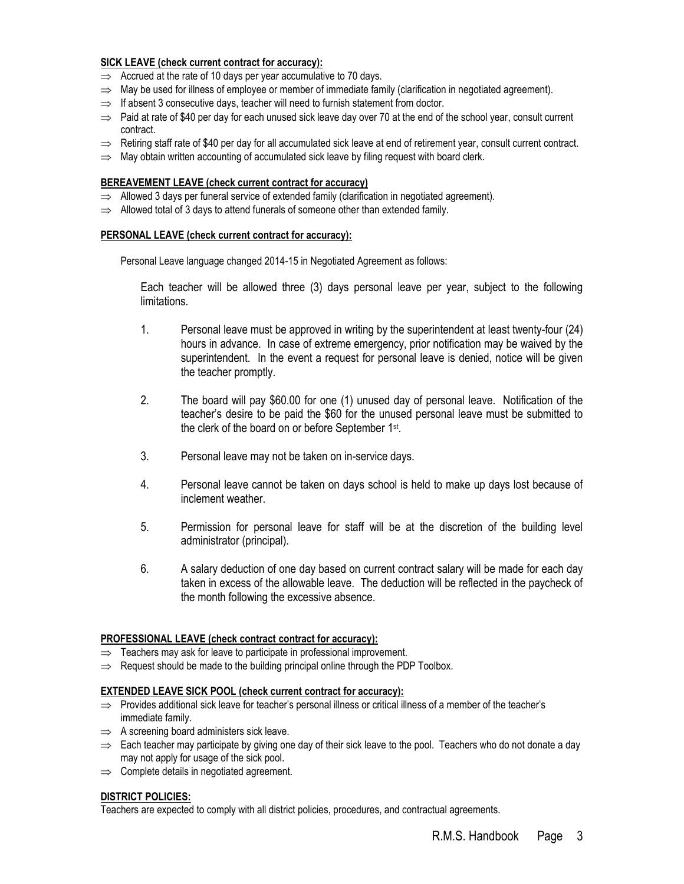## **SICK LEAVE (check current contract for accuracy):**

- $\Rightarrow$  Accrued at the rate of 10 days per year accumulative to 70 days.
- $\Rightarrow$  May be used for illness of employee or member of immediate family (clarification in negotiated agreement).
- $\Rightarrow$  If absent 3 consecutive days, teacher will need to furnish statement from doctor.
- $\Rightarrow$  Paid at rate of \$40 per day for each unused sick leave day over 70 at the end of the school year, consult current contract.
- $\Rightarrow$  Retiring staff rate of \$40 per day for all accumulated sick leave at end of retirement year, consult current contract.
- $\Rightarrow$  May obtain written accounting of accumulated sick leave by filing request with board clerk.

#### **BEREAVEMENT LEAVE (check current contract for accuracy)**

- $\Rightarrow$  Allowed 3 days per funeral service of extended family (clarification in negotiated agreement).
- $\Rightarrow$  Allowed total of 3 days to attend funerals of someone other than extended family.

#### **PERSONAL LEAVE (check current contract for accuracy):**

Personal Leave language changed 2014-15 in Negotiated Agreement as follows:

Each teacher will be allowed three (3) days personal leave per year, subject to the following limitations.

- 1. Personal leave must be approved in writing by the superintendent at least twenty-four (24) hours in advance. In case of extreme emergency, prior notification may be waived by the superintendent. In the event a request for personal leave is denied, notice will be given the teacher promptly.
- 2. The board will pay \$60.00 for one (1) unused day of personal leave. Notification of the teacher's desire to be paid the \$60 for the unused personal leave must be submitted to the clerk of the board on or before September 1<sup>st</sup>.
- 3. Personal leave may not be taken on in-service days.
- 4. Personal leave cannot be taken on days school is held to make up days lost because of inclement weather.
- 5. Permission for personal leave for staff will be at the discretion of the building level administrator (principal).
- 6. A salary deduction of one day based on current contract salary will be made for each day taken in excess of the allowable leave. The deduction will be reflected in the paycheck of the month following the excessive absence.

#### **PROFESSIONAL LEAVE (check contract contract for accuracy):**

- $\Rightarrow$  Teachers may ask for leave to participate in professional improvement.
- $\Rightarrow$  Request should be made to the building principal online through the PDP Toolbox.

#### **EXTENDED LEAVE SICK POOL (check current contract for accuracy):**

- $\Rightarrow$  Provides additional sick leave for teacher's personal illness or critical illness of a member of the teacher's immediate family.
- $\Rightarrow$  A screening board administers sick leave.
- $\Rightarrow$  Each teacher may participate by giving one day of their sick leave to the pool. Teachers who do not donate a day may not apply for usage of the sick pool.
- $\implies$  Complete details in negotiated agreement.

#### **DISTRICT POLICIES:**

Teachers are expected to comply with all district policies, procedures, and contractual agreements.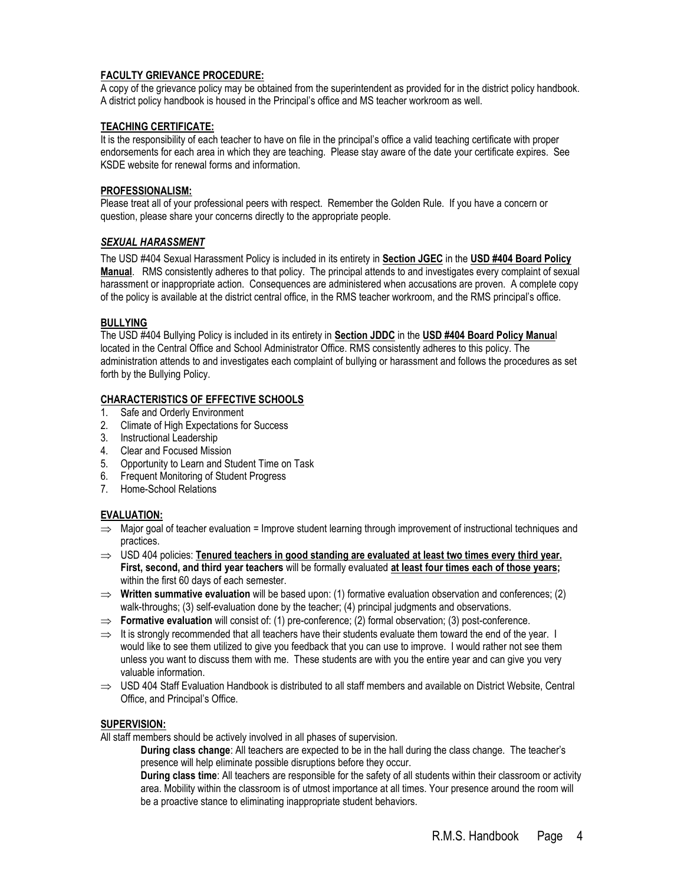## **FACULTY GRIEVANCE PROCEDURE:**

A copy of the grievance policy may be obtained from the superintendent as provided for in the district policy handbook. A district policy handbook is housed in the Principal's office and MS teacher workroom as well.

### **TEACHING CERTIFICATE:**

It is the responsibility of each teacher to have on file in the principal's office a valid teaching certificate with proper endorsements for each area in which they are teaching. Please stay aware of the date your certificate expires. See KSDE website for renewal forms and information.

## **PROFESSIONALISM:**

Please treat all of your professional peers with respect. Remember the Golden Rule. If you have a concern or question, please share your concerns directly to the appropriate people.

## *SEXUAL HARASSMENT*

The USD #404 Sexual Harassment Policy is included in its entirety in **Section JGEC** in the **USD #404 Board Policy Manual**. RMS consistently adheres to that policy. The principal attends to and investigates every complaint of sexual harassment or inappropriate action. Consequences are administered when accusations are proven. A complete copy of the policy is available at the district central office, in the RMS teacher workroom, and the RMS principal's office.

#### **BULLYING**

The USD #404 Bullying Policy is included in its entirety in **Section JDDC** in the **USD #404 Board Policy Manua**l located in the Central Office and School Administrator Office. RMS consistently adheres to this policy. The administration attends to and investigates each complaint of bullying or harassment and follows the procedures as set forth by the Bullying Policy.

#### **CHARACTERISTICS OF EFFECTIVE SCHOOLS**

- 1. Safe and Orderly Environment
- 2. Climate of High Expectations for Success
- 3. Instructional Leadership
- 4. Clear and Focused Mission
- 5. Opportunity to Learn and Student Time on Task
- 6. Frequent Monitoring of Student Progress
- 7. Home-School Relations

## **EVALUATION:**

- $\Rightarrow$  Major goal of teacher evaluation = Improve student learning through improvement of instructional techniques and practices.
- $\Rightarrow$  USD 404 policies: Tenured teachers in good standing are evaluated at least two times every third year. **First, second, and third year teachers** will be formally evaluated **at least four times each of those years;** within the first 60 days of each semester.
- $\Rightarrow$  Written summative evaluation will be based upon: (1) formative evaluation observation and conferences; (2) walk-throughs; (3) self-evaluation done by the teacher; (4) principal judgments and observations.
- ⇒ **Formative evaluation** will consist of: (1) pre-conference; (2) formal observation; (3) post-conference.
- $\Rightarrow$  It is strongly recommended that all teachers have their students evaluate them toward the end of the year. I would like to see them utilized to give you feedback that you can use to improve. I would rather not see them unless you want to discuss them with me. These students are with you the entire year and can give you very valuable information.
- $\Rightarrow$  USD 404 Staff Evaluation Handbook is distributed to all staff members and available on District Website, Central Office, and Principal's Office.

#### **SUPERVISION:**

All staff members should be actively involved in all phases of supervision.

**During class change**: All teachers are expected to be in the hall during the class change. The teacher's presence will help eliminate possible disruptions before they occur.

**During class time**: All teachers are responsible for the safety of all students within their classroom or activity area. Mobility within the classroom is of utmost importance at all times. Your presence around the room will be a proactive stance to eliminating inappropriate student behaviors.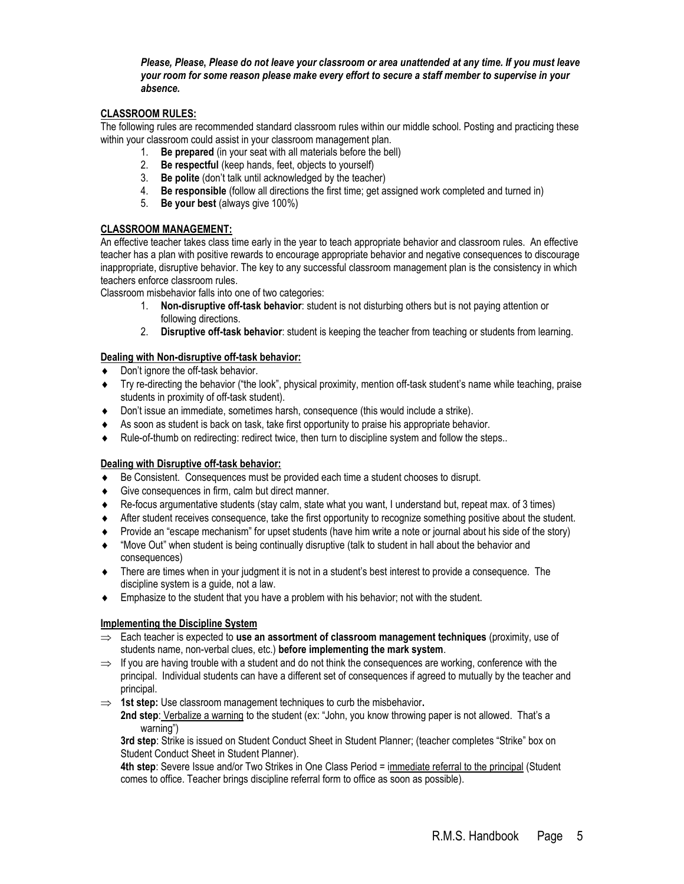#### *Please, Please***,** *Please do not leave your classroom or area unattended at any time. If you must leave your room for some reason please make every effort to secure a staff member to supervise in your absence.*

## **CLASSROOM RULES:**

The following rules are recommended standard classroom rules within our middle school. Posting and practicing these within your classroom could assist in your classroom management plan.

- 1. **Be prepared** (in your seat with all materials before the bell)
- 2. **Be respectful** (keep hands, feet, objects to yourself)
- 3. **Be polite** (don't talk until acknowledged by the teacher)
- 4. **Be responsible** (follow all directions the first time; get assigned work completed and turned in)
- 5. **Be your best** (always give 100%)

## **CLASSROOM MANAGEMENT:**

An effective teacher takes class time early in the year to teach appropriate behavior and classroom rules. An effective teacher has a plan with positive rewards to encourage appropriate behavior and negative consequences to discourage inappropriate, disruptive behavior. The key to any successful classroom management plan is the consistency in which teachers enforce classroom rules.

Classroom misbehavior falls into one of two categories:

- 1. **Non-disruptive off-task behavior**: student is not disturbing others but is not paying attention or following directions.
- 2. **Disruptive off-task behavior**: student is keeping the teacher from teaching or students from learning.

## **Dealing with Non-disruptive off-task behavior:**

- ◆ Don't ignore the off-task behavior.
- Try re-directing the behavior ("the look", physical proximity, mention off-task student's name while teaching, praise students in proximity of off-task student).
- Don't issue an immediate, sometimes harsh, consequence (this would include a strike).
- As soon as student is back on task, take first opportunity to praise his appropriate behavior.
- Rule-of-thumb on redirecting: redirect twice, then turn to discipline system and follow the steps..

## **Dealing with Disruptive off-task behavior:**

- Be Consistent. Consequences must be provided each time a student chooses to disrupt.
- Give consequences in firm, calm but direct manner.
- Re-focus argumentative students (stay calm, state what you want, I understand but, repeat max. of 3 times)
- After student receives consequence, take the first opportunity to recognize something positive about the student.
- Provide an "escape mechanism" for upset students (have him write a note or journal about his side of the story)
- "Move Out" when student is being continually disruptive (talk to student in hall about the behavior and consequences)
- There are times when in your judgment it is not in a student's best interest to provide a consequence. The discipline system is a guide, not a law.
- Emphasize to the student that you have a problem with his behavior; not with the student.

## **Implementing the Discipline System**

- $\Rightarrow$  Each teacher is expected to **use an assortment of classroom management techniques** (proximity, use of students name, non-verbal clues, etc.) **before implementing the mark system**.
- $\Rightarrow$  If you are having trouble with a student and do not think the consequences are working, conference with the principal. Individual students can have a different set of consequences if agreed to mutually by the teacher and principal.
- **1st step:** Use classroom management techniques to curb the misbehavior**.**
	- **2nd step**: Verbalize a warning to the student (ex: "John, you know throwing paper is not allowed. That's a warning")

**3rd step**: Strike is issued on Student Conduct Sheet in Student Planner; (teacher completes "Strike" box on Student Conduct Sheet in Student Planner).

**4th step**: Severe Issue and/or Two Strikes in One Class Period = immediate referral to the principal (Student comes to office. Teacher brings discipline referral form to office as soon as possible).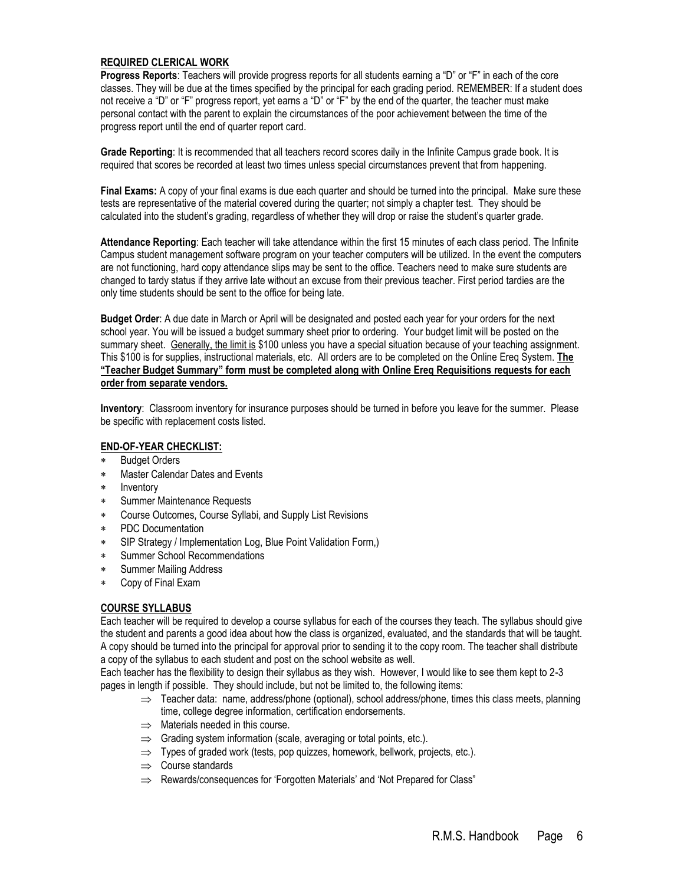## **REQUIRED CLERICAL WORK**

**Progress Reports**: Teachers will provide progress reports for all students earning a "D" or "F" in each of the core classes. They will be due at the times specified by the principal for each grading period. REMEMBER: If a student does not receive a "D" or "F" progress report, yet earns a "D" or "F" by the end of the quarter, the teacher must make personal contact with the parent to explain the circumstances of the poor achievement between the time of the progress report until the end of quarter report card.

**Grade Reporting**: It is recommended that all teachers record scores daily in the Infinite Campus grade book. It is required that scores be recorded at least two times unless special circumstances prevent that from happening.

**Final Exams:** A copy of your final exams is due each quarter and should be turned into the principal. Make sure these tests are representative of the material covered during the quarter; not simply a chapter test. They should be calculated into the student's grading, regardless of whether they will drop or raise the student's quarter grade.

**Attendance Reporting**: Each teacher will take attendance within the first 15 minutes of each class period. The Infinite Campus student management software program on your teacher computers will be utilized. In the event the computers are not functioning, hard copy attendance slips may be sent to the office. Teachers need to make sure students are changed to tardy status if they arrive late without an excuse from their previous teacher. First period tardies are the only time students should be sent to the office for being late.

**Budget Order**: A due date in March or April will be designated and posted each year for your orders for the next school year. You will be issued a budget summary sheet prior to ordering. Your budget limit will be posted on the summary sheet. Generally, the limit is \$100 unless you have a special situation because of your teaching assignment. This \$100 is for supplies, instructional materials, etc. All orders are to be completed on the Online Ereq System. **The "Teacher Budget Summary" form must be completed along with Online Ereq Requisitions requests for each order from separate vendors.**

**Inventory**: Classroom inventory for insurance purposes should be turned in before you leave for the summer. Please be specific with replacement costs listed.

#### **END-OF-YEAR CHECKLIST:**

- Budget Orders
- Master Calendar Dates and Events
- \* Inventory
- Summer Maintenance Requests
- Course Outcomes, Course Syllabi, and Supply List Revisions
- PDC Documentation
- SIP Strategy / Implementation Log, Blue Point Validation Form,)
- Summer School Recommendations
- Summer Mailing Address
- Copy of Final Exam

#### **COURSE SYLLABUS**

Each teacher will be required to develop a course syllabus for each of the courses they teach. The syllabus should give the student and parents a good idea about how the class is organized, evaluated, and the standards that will be taught. A copy should be turned into the principal for approval prior to sending it to the copy room. The teacher shall distribute a copy of the syllabus to each student and post on the school website as well.

Each teacher has the flexibility to design their syllabus as they wish. However, I would like to see them kept to 2-3 pages in length if possible. They should include, but not be limited to, the following items:

- $\Rightarrow$  Teacher data: name, address/phone (optional), school address/phone, times this class meets, planning time, college degree information, certification endorsements.
- $\implies$  Materials needed in this course.
- $\Rightarrow$  Grading system information (scale, averaging or total points, etc.).
- $\Rightarrow$  Types of graded work (tests, pop quizzes, homework, bellwork, projects, etc.).
- $\implies$  Course standards
- $\Rightarrow$  Rewards/consequences for 'Forgotten Materials' and 'Not Prepared for Class"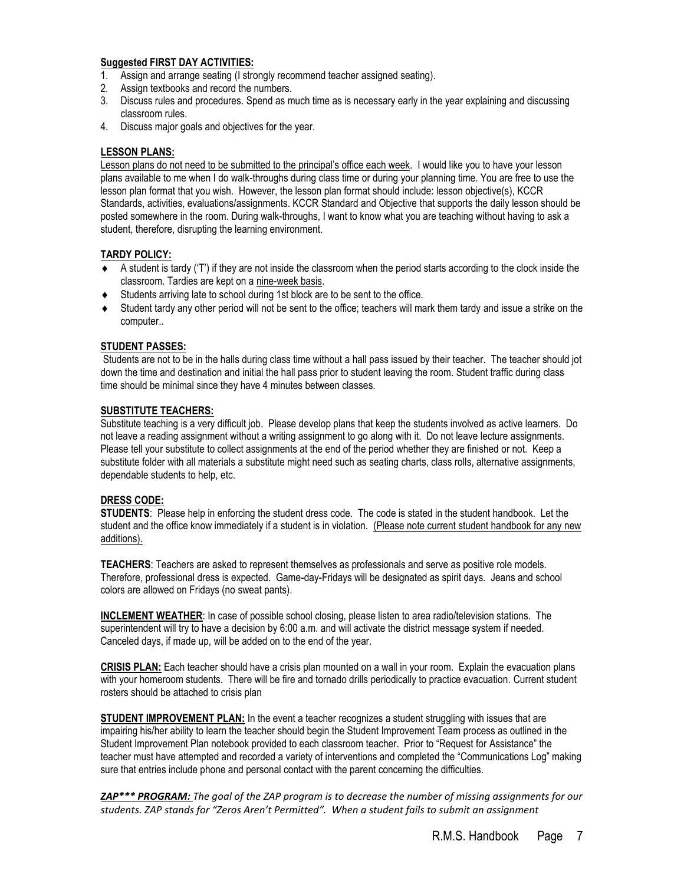#### **Suggested FIRST DAY ACTIVITIES:**

- 1. Assign and arrange seating (I strongly recommend teacher assigned seating).
- 2. Assign textbooks and record the numbers.
- 3. Discuss rules and procedures. Spend as much time as is necessary early in the year explaining and discussing classroom rules.
- 4. Discuss major goals and objectives for the year.

#### **LESSON PLANS:**

Lesson plans do not need to be submitted to the principal's office each week. I would like you to have your lesson plans available to me when I do walk-throughs during class time or during your planning time. You are free to use the lesson plan format that you wish. However, the lesson plan format should include: lesson objective(s), KCCR Standards, activities, evaluations/assignments. KCCR Standard and Objective that supports the daily lesson should be posted somewhere in the room. During walk-throughs, I want to know what you are teaching without having to ask a student, therefore, disrupting the learning environment.

#### **TARDY POLICY:**

- $\bullet$  A student is tardy ('T') if they are not inside the classroom when the period starts according to the clock inside the classroom. Tardies are kept on a nine-week basis.
- Students arriving late to school during 1st block are to be sent to the office.
- Student tardy any other period will not be sent to the office; teachers will mark them tardy and issue a strike on the computer..

#### **STUDENT PASSES:**

Students are not to be in the halls during class time without a hall pass issued by their teacher. The teacher should jot down the time and destination and initial the hall pass prior to student leaving the room. Student traffic during class time should be minimal since they have 4 minutes between classes.

#### **SUBSTITUTE TEACHERS:**

Substitute teaching is a very difficult job. Please develop plans that keep the students involved as active learners. Do not leave a reading assignment without a writing assignment to go along with it. Do not leave lecture assignments. Please tell your substitute to collect assignments at the end of the period whether they are finished or not. Keep a substitute folder with all materials a substitute might need such as seating charts, class rolls, alternative assignments, dependable students to help, etc.

#### **DRESS CODE:**

**STUDENTS**: Please help in enforcing the student dress code. The code is stated in the student handbook. Let the student and the office know immediately if a student is in violation. (Please note current student handbook for any new additions).

**TEACHERS**: Teachers are asked to represent themselves as professionals and serve as positive role models. Therefore, professional dress is expected. Game-day-Fridays will be designated as spirit days. Jeans and school colors are allowed on Fridays (no sweat pants).

**INCLEMENT WEATHER**: In case of possible school closing, please listen to area radio/television stations. The superintendent will try to have a decision by 6:00 a.m. and will activate the district message system if needed. Canceled days, if made up, will be added on to the end of the year.

**CRISIS PLAN:** Each teacher should have a crisis plan mounted on a wall in your room. Explain the evacuation plans with your homeroom students. There will be fire and tornado drills periodically to practice evacuation. Current student rosters should be attached to crisis plan

**STUDENT IMPROVEMENT PLAN:** In the event a teacher recognizes a student struggling with issues that are impairing his/her ability to learn the teacher should begin the Student Improvement Team process as outlined in the Student Improvement Plan notebook provided to each classroom teacher. Prior to "Request for Assistance" the teacher must have attempted and recorded a variety of interventions and completed the "Communications Log" making sure that entries include phone and personal contact with the parent concerning the difficulties.

*ZAP\*\*\* PROGRAM: The goal of the ZAP program is to decrease the number of missing assignments for our students. ZAP stands for "Zeros Aren't Permitted". When a student fails to submit an assignment*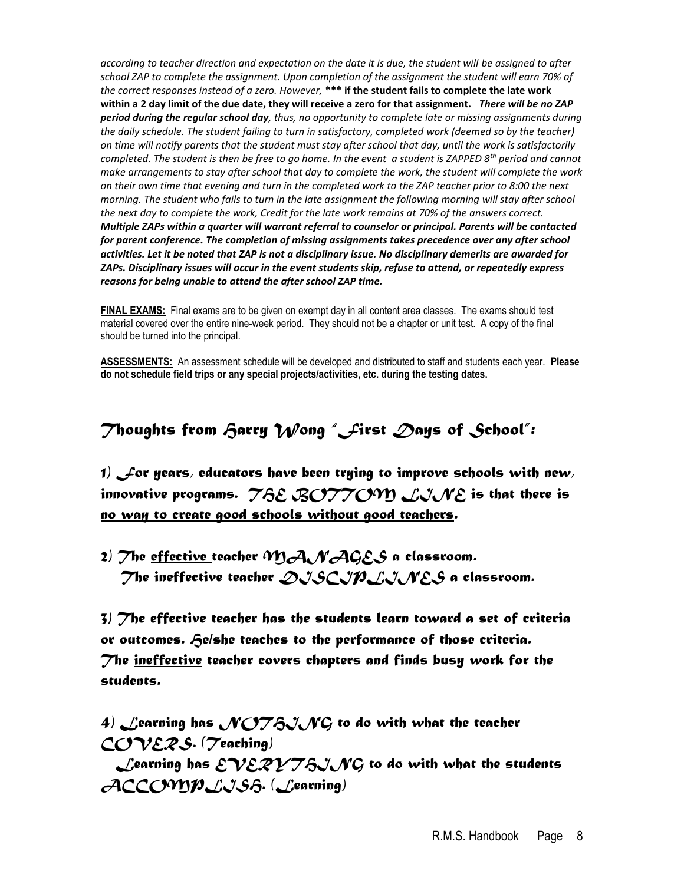*according to teacher direction and expectation on the date it is due, the student will be assigned to after school ZAP to complete the assignment. Upon completion of the assignment the student will earn 70% of the correct responses instead of a zero. However,* **\*\*\* if the student fails to complete the late work within a 2 day limit of the due date, they will receive a zero for that assignment.** *There will be no ZAP period during the regular school day, thus, no opportunity to complete late or missing assignments during the daily schedule. The student failing to turn in satisfactory, completed work (deemed so by the teacher) on time will notify parents that the student must stay after school that day, until the work is satisfactorily completed. The student is then be free to go home. In the event a student is ZAPPED 8th period and cannot make arrangements to stay after school that day to complete the work, the student will complete the work on their own time that evening and turn in the completed work to the ZAP teacher prior to 8:00 the next morning. The student who fails to turn in the late assignment the following morning will stay after school the next day to complete the work, Credit for the late work remains at 70% of the answers correct. Multiple ZAPs within a quarter will warrant referral to counselor or principal. Parents will be contacted for parent conference. The completion of missing assignments takes precedence over any after school activities. Let it be noted that ZAP is not a disciplinary issue. No disciplinary demerits are awarded for ZAPs. Disciplinary issues will occur in the event students skip, refuse to attend, or repeatedly express reasons for being unable to attend the after school ZAP time.*

**FINAL EXAMS:** Final exams are to be given on exempt day in all content area classes. The exams should test material covered over the entire nine-week period. They should not be a chapter or unit test. A copy of the final should be turned into the principal.

**ASSESSMENTS:** An assessment schedule will be developed and distributed to staff and students each year. **Please do not schedule field trips or any special projects/activities, etc. during the testing dates.**

## *Thoughts from Harry Wong "First Days of School":*

*1) For years, educators have been trying to improve schools with new, innovative programs. THE BOTTOM LINE is that there is no way to create good schools without good teachers.*

*2) The effective teacher MANAGES a classroom. The ineffective teacher DISCIPLINES a classroom.*

*3) The effective teacher has the students learn toward a set of criteria or outcomes. He/she teaches to the performance of those criteria. The ineffective teacher covers chapters and finds busy work for the students.*

4) Learning has *NOT&J* NG to do with what the teacher *COVERS. (Teaching)*

*Learning has EVERVTAJNG* to do with what the students *ACCOMPLISH. (Learning)*